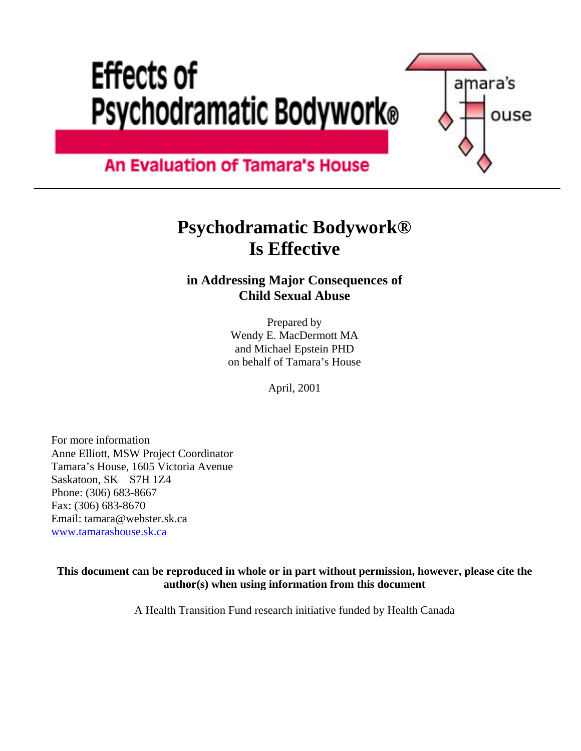# **Effects of Psychodramatic Bodywork®**



### **An Evaluation of Tamara's House**

# **Psychodramatic Bodywork® Is Effective**

#### **in Addressing Major Consequences of Child Sexual Abuse**

Prepared by Wendy E. MacDermott MA and Michael Epstein PHD on behalf of Tamara's House

April, 2001

For more information Anne Elliott, MSW Project Coordinator Tamara's House, 1605 Victoria Avenue Saskatoon, SK S7H 1Z4 Phone: (306) 683-8667 Fax: (306) 683-8670 Email: tamara@webster.sk.ca [www.tamarashouse.sk.ca](http://www.tamarashouse.sk.ca/)

**This document can be reproduced in whole or in part without permission, however, please cite the author(s) when using information from this document** 

A Health Transition Fund research initiative funded by Health Canada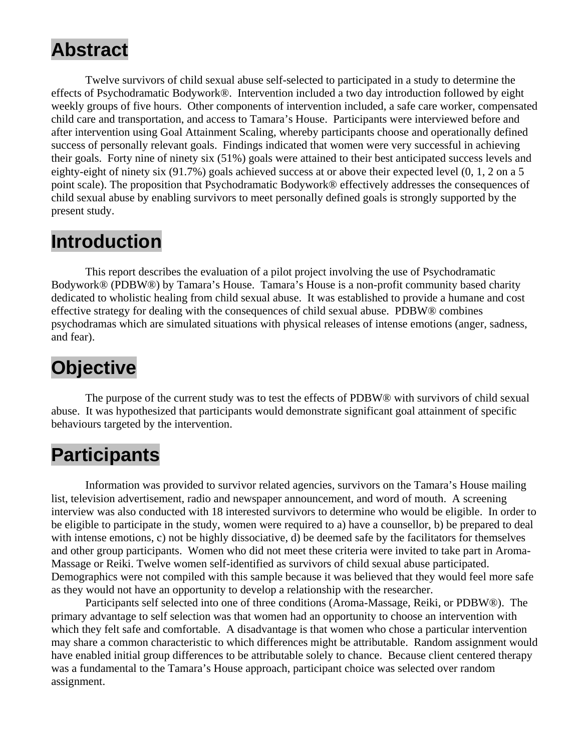# **Abstract**

 Twelve survivors of child sexual abuse self-selected to participated in a study to determine the effects of Psychodramatic Bodywork®. Intervention included a two day introduction followed by eight weekly groups of five hours. Other components of intervention included, a safe care worker, compensated child care and transportation, and access to Tamara's House. Participants were interviewed before and after intervention using Goal Attainment Scaling, whereby participants choose and operationally defined success of personally relevant goals. Findings indicated that women were very successful in achieving their goals. Forty nine of ninety six (51%) goals were attained to their best anticipated success levels and eighty-eight of ninety six (91.7%) goals achieved success at or above their expected level (0, 1, 2 on a 5 point scale). The proposition that Psychodramatic Bodywork® effectively addresses the consequences of child sexual abuse by enabling survivors to meet personally defined goals is strongly supported by the present study.

### **Introduction**

This report describes the evaluation of a pilot project involving the use of Psychodramatic Bodywork® (PDBW®) by Tamara's House. Tamara's House is a non-profit community based charity dedicated to wholistic healing from child sexual abuse. It was established to provide a humane and cost effective strategy for dealing with the consequences of child sexual abuse. PDBW® combines psychodramas which are simulated situations with physical releases of intense emotions (anger, sadness, and fear).

# **Objective**

 The purpose of the current study was to test the effects of PDBW® with survivors of child sexual abuse. It was hypothesized that participants would demonstrate significant goal attainment of specific behaviours targeted by the intervention.

### **Participants**

 Information was provided to survivor related agencies, survivors on the Tamara's House mailing list, television advertisement, radio and newspaper announcement, and word of mouth. A screening interview was also conducted with 18 interested survivors to determine who would be eligible. In order to be eligible to participate in the study, women were required to a) have a counsellor, b) be prepared to deal with intense emotions, c) not be highly dissociative, d) be deemed safe by the facilitators for themselves and other group participants. Women who did not meet these criteria were invited to take part in Aroma-Massage or Reiki. Twelve women self-identified as survivors of child sexual abuse participated. Demographics were not compiled with this sample because it was believed that they would feel more safe as they would not have an opportunity to develop a relationship with the researcher.

 Participants self selected into one of three conditions (Aroma-Massage, Reiki, or PDBW®). The primary advantage to self selection was that women had an opportunity to choose an intervention with which they felt safe and comfortable. A disadvantage is that women who chose a particular intervention may share a common characteristic to which differences might be attributable. Random assignment would have enabled initial group differences to be attributable solely to chance. Because client centered therapy was a fundamental to the Tamara's House approach, participant choice was selected over random assignment.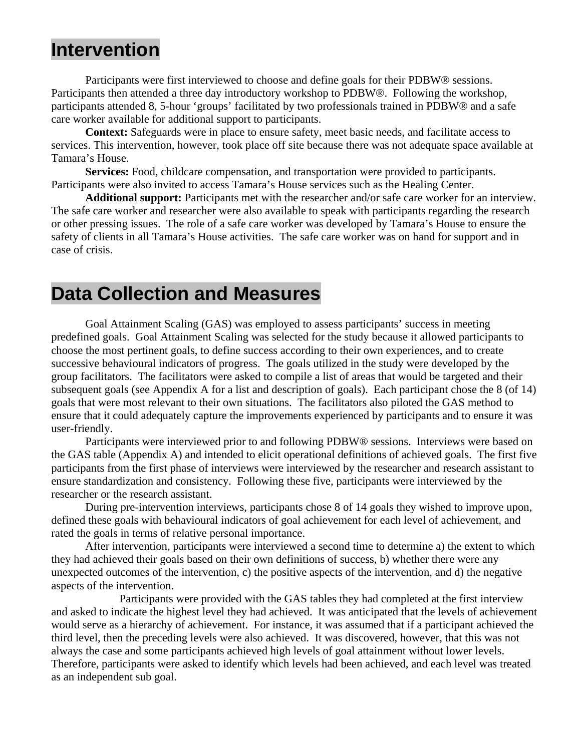### **Intervention**

Participants were first interviewed to choose and define goals for their PDBW® sessions. Participants then attended a three day introductory workshop to PDBW®. Following the workshop, participants attended 8, 5-hour 'groups' facilitated by two professionals trained in PDBW® and a safe care worker available for additional support to participants.

**Context:** Safeguards were in place to ensure safety, meet basic needs, and facilitate access to services. This intervention, however, took place off site because there was not adequate space available at Tamara's House.

**Services:** Food, childcare compensation, and transportation were provided to participants. Participants were also invited to access Tamara's House services such as the Healing Center.

**Additional support:** Participants met with the researcher and/or safe care worker for an interview. The safe care worker and researcher were also available to speak with participants regarding the research or other pressing issues. The role of a safe care worker was developed by Tamara's House to ensure the safety of clients in all Tamara's House activities. The safe care worker was on hand for support and in case of crisis.

#### **Data Collection and Measures**

 Goal Attainment Scaling (GAS) was employed to assess participants' success in meeting predefined goals. Goal Attainment Scaling was selected for the study because it allowed participants to choose the most pertinent goals, to define success according to their own experiences, and to create successive behavioural indicators of progress. The goals utilized in the study were developed by the group facilitators. The facilitators were asked to compile a list of areas that would be targeted and their subsequent goals (see Appendix A for a list and description of goals). Each participant chose the 8 (of 14) goals that were most relevant to their own situations. The facilitators also piloted the GAS method to ensure that it could adequately capture the improvements experienced by participants and to ensure it was user-friendly.

 Participants were interviewed prior to and following PDBW® sessions. Interviews were based on the GAS table (Appendix A) and intended to elicit operational definitions of achieved goals. The first five participants from the first phase of interviews were interviewed by the researcher and research assistant to ensure standardization and consistency. Following these five, participants were interviewed by the researcher or the research assistant.

 During pre-intervention interviews, participants chose 8 of 14 goals they wished to improve upon, defined these goals with behavioural indicators of goal achievement for each level of achievement, and rated the goals in terms of relative personal importance.

 After intervention, participants were interviewed a second time to determine a) the extent to which they had achieved their goals based on their own definitions of success, b) whether there were any unexpected outcomes of the intervention, c) the positive aspects of the intervention, and d) the negative aspects of the intervention.

 Participants were provided with the GAS tables they had completed at the first interview and asked to indicate the highest level they had achieved. It was anticipated that the levels of achievement would serve as a hierarchy of achievement. For instance, it was assumed that if a participant achieved the third level, then the preceding levels were also achieved. It was discovered, however, that this was not always the case and some participants achieved high levels of goal attainment without lower levels. Therefore, participants were asked to identify which levels had been achieved, and each level was treated as an independent sub goal.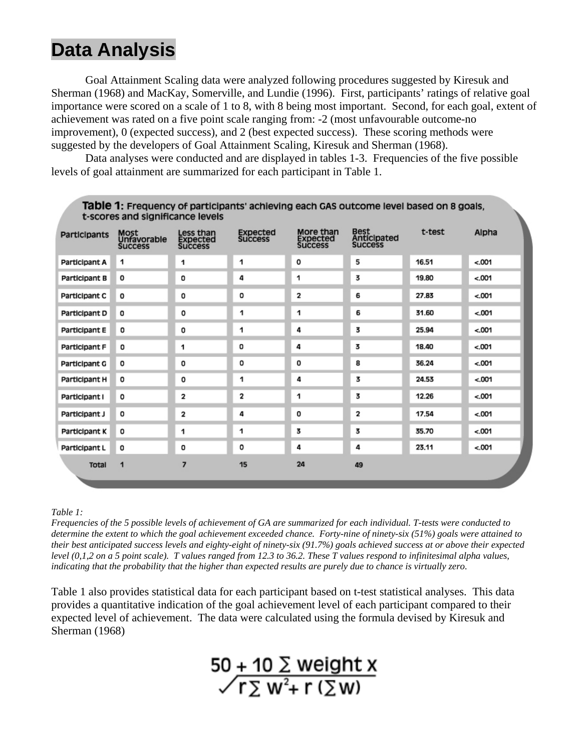# **Data Analysis**

Goal Attainment Scaling data were analyzed following procedures suggested by Kiresuk and Sherman (1968) and MacKay, Somerville, and Lundie (1996). First, participants' ratings of relative goal importance were scored on a scale of 1 to 8, with 8 being most important. Second, for each goal, extent of achievement was rated on a five point scale ranging from: -2 (most unfavourable outcome-no improvement), 0 (expected success), and 2 (best expected success). These scoring methods were suggested by the developers of Goal Attainment Scaling, Kiresuk and Sherman (1968).

 Data analyses were conducted and are displayed in tables 1-3. Frequencies of the five possible levels of goal attainment are summarized for each participant in Table 1.

| t-scores and significance levels |                                       |                                         |                                   |                                                                                                       |    |        |         |  |  |  |
|----------------------------------|---------------------------------------|-----------------------------------------|-----------------------------------|-------------------------------------------------------------------------------------------------------|----|--------|---------|--|--|--|
| Participants                     | Most<br>Unfavorable<br><b>Success</b> | Less than<br>Expected<br><b>Success</b> | <b>Expected</b><br><b>Success</b> | <b>Best</b><br>More than<br><b>Anticipated</b><br><b>Expected</b><br><b>Success</b><br><b>Success</b> |    | t-test | Alpha   |  |  |  |
| Participant A                    | 1                                     | 1                                       | 1                                 | 0                                                                                                     | 5  | 16.51  | $-.001$ |  |  |  |
| Participant B                    | o                                     | о                                       | 4                                 | 1                                                                                                     | 3  | 19.80  | $-.001$ |  |  |  |
| Participant C                    | $\circ$                               | 0                                       | o                                 | 2                                                                                                     | 6  | 27.83  | $500 -$ |  |  |  |
| Participant D                    | 0                                     | 0                                       | 1                                 | 1                                                                                                     | 6  | 31.60  | $-.001$ |  |  |  |
| Participant E                    | 0                                     | o                                       | 1                                 | 4                                                                                                     | 3  | 25.94  | $-.001$ |  |  |  |
| Participant F                    | 0                                     | 1                                       | 0                                 | 4                                                                                                     | 3  | 18.40  | $-.001$ |  |  |  |
| Participant G                    | o                                     | 0                                       | о                                 | o                                                                                                     | 8  | 36.24  | $500 -$ |  |  |  |
| Participant H                    | o                                     | o                                       | 1                                 | 4                                                                                                     | 3  | 24.53  | $-.001$ |  |  |  |
| Participant I                    | o                                     | 2                                       | 2                                 | 1                                                                                                     | 3  | 12.26  | $-.001$ |  |  |  |
| Participant J                    | o                                     | 2                                       | 4                                 | o                                                                                                     | 2  | 17.54  | < 001   |  |  |  |
| Participant K                    | o                                     | 1                                       | 1                                 | 3                                                                                                     | 3  | 35.70  | $-.001$ |  |  |  |
| Participant L                    | 0                                     | o                                       | о                                 | 4                                                                                                     | 4  | 23.11  | $-.001$ |  |  |  |
| <b>Total</b>                     | 1                                     | 7                                       | 15                                | 24                                                                                                    | 49 |        |         |  |  |  |

Table 1: Frequency of participants' achieving each GAS outcome level based on 8 goals.

#### *Table 1:*

*Frequencies of the 5 possible levels of achievement of GA are summarized for each individual. T-tests were conducted to determine the extent to which the goal achievement exceeded chance. Forty-nine of ninety-six (51%) goals were attained to their best anticipated success levels and eighty-eight of ninety-six (91.7%) goals achieved success at or above their expected level (0,1,2 on a 5 point scale). T values ranged from 12.3 to 36.2. These T values respond to infinitesimal alpha values, indicating that the probability that the higher than expected results are purely due to chance is virtually zero.*

Table 1 also provides statistical data for each participant based on t-test statistical analyses. This data provides a quantitative indication of the goal achievement level of each participant compared to their expected level of achievement. The data were calculated using the formula devised by Kiresuk and Sherman (1968)

 $50 + 10 \sum$  weight x<br>  $\sqrt{r} \sum w^2 + r (\sum w)$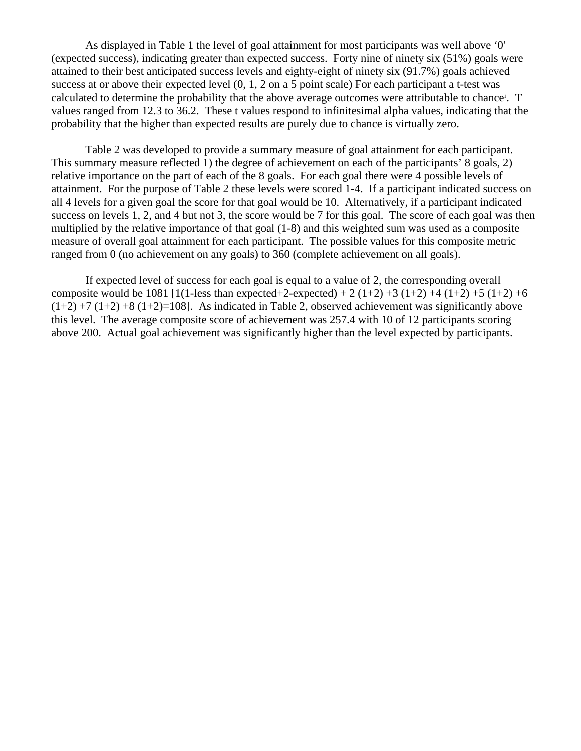As displayed in Table 1 the level of goal attainment for most participants was well above '0' (expected success), indicating greater than expected success. Forty nine of ninety six (51%) goals were attained to their best anticipated success levels and eighty-eight of ninety six (91.7%) goals achieved success at or above their expected level (0, 1, 2 on a 5 point scale) For each participant a t-test was calculated to determine the probability that the above average outcomes were attributable to chance<sup>1</sup>. T values ranged from 12.3 to 36.2. These t values respond to infinitesimal alpha values, indicating that the probability that the higher than expected results are purely due to chance is virtually zero.

Table 2 was developed to provide a summary measure of goal attainment for each participant. This summary measure reflected 1) the degree of achievement on each of the participants' 8 goals, 2) relative importance on the part of each of the 8 goals. For each goal there were 4 possible levels of attainment. For the purpose of Table 2 these levels were scored 1-4. If a participant indicated success on all 4 levels for a given goal the score for that goal would be 10. Alternatively, if a participant indicated success on levels 1, 2, and 4 but not 3, the score would be 7 for this goal. The score of each goal was then multiplied by the relative importance of that goal (1-8) and this weighted sum was used as a composite measure of overall goal attainment for each participant. The possible values for this composite metric ranged from 0 (no achievement on any goals) to 360 (complete achievement on all goals).

If expected level of success for each goal is equal to a value of 2, the corresponding overall composite would be 1081 [1(1-less than expected+2-expected) + 2 (1+2) +3 (1+2) +4 (1+2) +5 (1+2) +6  $(1+2) +7 (1+2) +8 (1+2) = 108$ . As indicated in Table 2, observed achievement was significantly above this level. The average composite score of achievement was 257.4 with 10 of 12 participants scoring above 200. Actual goal achievement was significantly higher than the level expected by participants.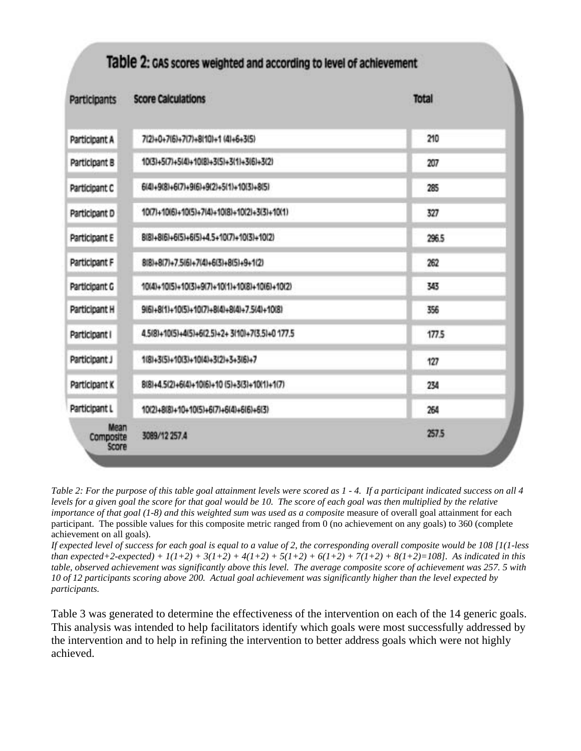| <b>Participants</b>        | <b>Score Calculations</b>                       | <b>Total</b> |
|----------------------------|-------------------------------------------------|--------------|
| Participant A              | 7(2)+0+7(6)+7(7)+8(10)+1 (4)+6+3(5)             | 210          |
| Participant B              | 10(3)+5(7)+5(4)+10(8)+3(5)+3(1)+3(6)+3(2)       | 207          |
| Participant C              | 6(4)+9(8)+6(7)+9(6)+9(2)+5(1)+10(3)+8(5)        | 285          |
| Participant D              | 10(7)+10(6)+10(5)+7(4)+10(8)+10(2)+3(3)+10(1)   | 327          |
| Participant E              | 8(8)+8(6)+6(5)+6(5)+4.5+10(7)+10(3)+10(2)       | 296.5        |
| Participant F              | 8(8)+8(7)+7.5(6)+7(4)+6(3)+8(5)+9+1(2)          | 262          |
| Participant G              | 10(4)+10(5)+10(3)+9(7)+10(1)+10(8)+10(6)+10(2)  | 343          |
| Participant H              | 9(6)+8(1)+10(5)+10(7)+8(4)+8(4)+7.5(4)+10(8)    | 356          |
| Participant I              | 4.5(8)+10(5)+4(5)+6(2.5)+2+3(10)+7(3.5)+0 177.5 | 177.5        |
| Participant J              | 1(8)+3(5)+10(3)+10(4)+3(2)+3+3(6)+7             | 127          |
| Participant K              | 8(8)+4.5(2)+6(4)+10(6)+10 (5)+3(3)+10(1)+1(7)   | 234          |
| Participant L              | 10(2)+8(8)+10+10(5)+6(7)+6(4)+6(6)+6(3)         | 264          |
| Mean<br>Composite<br>Score | 3089/12 257.4                                   | 257.5        |

*Table 2: For the purpose of this table goal attainment levels were scored as 1 - 4. If a participant indicated success on all 4 levels for a given goal the score for that goal would be 10. The score of each goal was then multiplied by the relative importance of that goal (1-8) and this weighted sum was used as a composite* measure of overall goal attainment for each participant. The possible values for this composite metric ranged from 0 (no achievement on any goals) to 360 (complete achievement on all goals).

*If expected level of success for each goal is equal to a value of 2, the corresponding overall composite would be 108 [1(1-less than expected+2-expected) +*  $1(1+2) + 3(1+2) + 4(1+2) + 5(1+2) + 6(1+2) + 7(1+2) + 8(1+2) = 108$ *. As indicated in this table, observed achievement was significantly above this level. The average composite score of achievement was 257. 5 with 10 of 12 participants scoring above 200. Actual goal achievement was significantly higher than the level expected by participants.*

Table 3 was generated to determine the effectiveness of the intervention on each of the 14 generic goals. This analysis was intended to help facilitators identify which goals were most successfully addressed by the intervention and to help in refining the intervention to better address goals which were not highly achieved.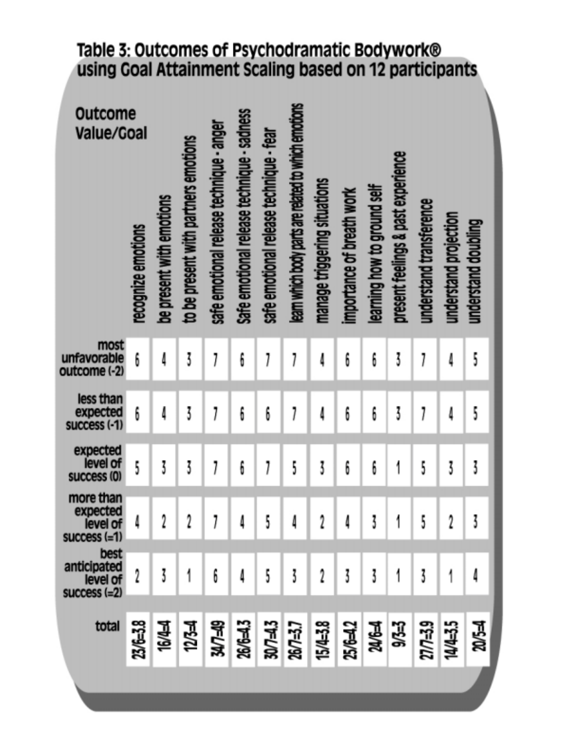# Table 3: Outcomes of Psychodramatic Bodywork®<br>using Goal Attainment Scaling based on 12 participants

| Outcome<br>Value/Goal                             | recognize emotions | be present with emotions | to be present with partners emotions | safe emotional release technique - anger | Safe emotional release technique - sadness | safe emotional release technique - fear | learn which body parts are related to which emotions | manage triggering situations                 | importance of breath work | learning how to ground self | present feelings & past experience | understand transference | understand projection | understand doubling |
|---------------------------------------------------|--------------------|--------------------------|--------------------------------------|------------------------------------------|--------------------------------------------|-----------------------------------------|------------------------------------------------------|----------------------------------------------|---------------------------|-----------------------------|------------------------------------|-------------------------|-----------------------|---------------------|
| most<br>unfavorable<br>outcome (-2)               | 6                  | 4                        | 3                                    | 1                                        | 6                                          |                                         |                                                      | 4                                            | 6                         | 6                           | 3                                  |                         | 4                     | 5                   |
| less than<br>expected<br>success (-1)             | 6                  | 4                        | 3                                    | 1                                        | 6                                          | 6                                       |                                                      | ₫                                            | 6                         | 6                           | 3                                  |                         | 4                     | 5                   |
| expected<br>level of<br>success (0)               | 5                  | 3                        | 3                                    | 1                                        | 6                                          |                                         | 5                                                    | 3                                            | 6                         | 6                           |                                    | 5                       | 3                     | 3                   |
| more than<br>expected<br>level of<br>success (=1) |                    | 2                        | 2                                    | 1                                        | Δ                                          | 5                                       | Δ                                                    |                                              | Δ                         | 3                           |                                    | 5                       | 2                     | Z                   |
| best<br>anticipated<br>level of<br>success (=2)   | 2                  |                          |                                      | 6                                        |                                            | 5                                       | 3                                                    |                                              | 3                         | 3                           |                                    | 3                       |                       |                     |
| total                                             | 23/6=3.8           | 16/44                    | $12/3 = 4$                           | <b>SPL/NS</b>                            |                                            |                                         |                                                      | 26/6=4.3<br>30/7=4.3<br>26/7=3.7<br>15/4=3.8 | 25/6=4.2                  | 24/6=4                      | 9/3=3                              | $27/7 = 3.9$            | 14/4=3.5              | র<br>ষ              |
|                                                   |                    |                          |                                      |                                          |                                            |                                         |                                                      |                                              |                           |                             |                                    |                         |                       |                     |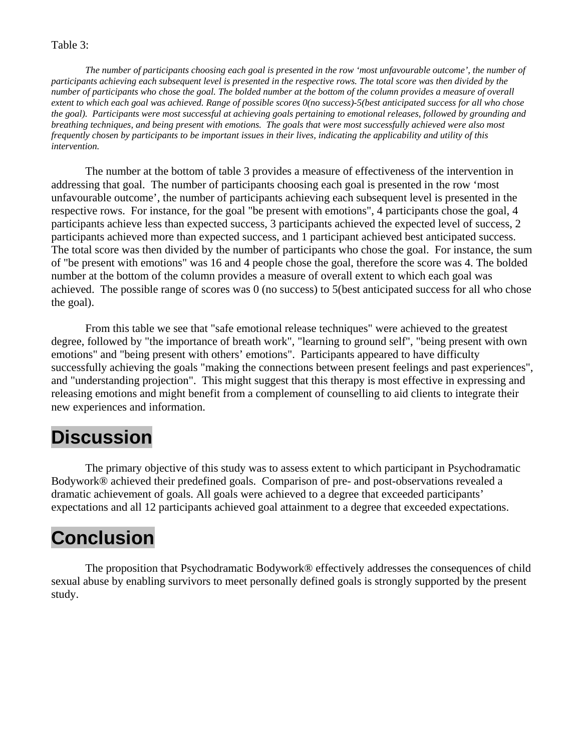#### Table 3:

*The number of participants choosing each goal is presented in the row 'most unfavourable outcome', the number of participants achieving each subsequent level is presented in the respective rows. The total score was then divided by the number of participants who chose the goal. The bolded number at the bottom of the column provides a measure of overall extent to which each goal was achieved. Range of possible scores 0(no success)-5(best anticipated success for all who chose the goal). Participants were most successful at achieving goals pertaining to emotional releases, followed by grounding and breathing techniques, and being present with emotions. The goals that were most successfully achieved were also most frequently chosen by participants to be important issues in their lives, indicating the applicability and utility of this intervention.* 

 The number at the bottom of table 3 provides a measure of effectiveness of the intervention in addressing that goal. The number of participants choosing each goal is presented in the row 'most unfavourable outcome', the number of participants achieving each subsequent level is presented in the respective rows. For instance, for the goal "be present with emotions", 4 participants chose the goal, 4 participants achieve less than expected success, 3 participants achieved the expected level of success, 2 participants achieved more than expected success, and 1 participant achieved best anticipated success. The total score was then divided by the number of participants who chose the goal. For instance, the sum of "be present with emotions" was 16 and 4 people chose the goal, therefore the score was 4. The bolded number at the bottom of the column provides a measure of overall extent to which each goal was achieved. The possible range of scores was 0 (no success) to 5(best anticipated success for all who chose the goal).

 From this table we see that "safe emotional release techniques" were achieved to the greatest degree, followed by "the importance of breath work", "learning to ground self", "being present with own emotions" and "being present with others' emotions". Participants appeared to have difficulty successfully achieving the goals "making the connections between present feelings and past experiences", and "understanding projection". This might suggest that this therapy is most effective in expressing and releasing emotions and might benefit from a complement of counselling to aid clients to integrate their new experiences and information.

#### **Discussion**

 The primary objective of this study was to assess extent to which participant in Psychodramatic Bodywork® achieved their predefined goals. Comparison of pre- and post-observations revealed a dramatic achievement of goals. All goals were achieved to a degree that exceeded participants' expectations and all 12 participants achieved goal attainment to a degree that exceeded expectations.

# **Conclusion**

 The proposition that Psychodramatic Bodywork® effectively addresses the consequences of child sexual abuse by enabling survivors to meet personally defined goals is strongly supported by the present study.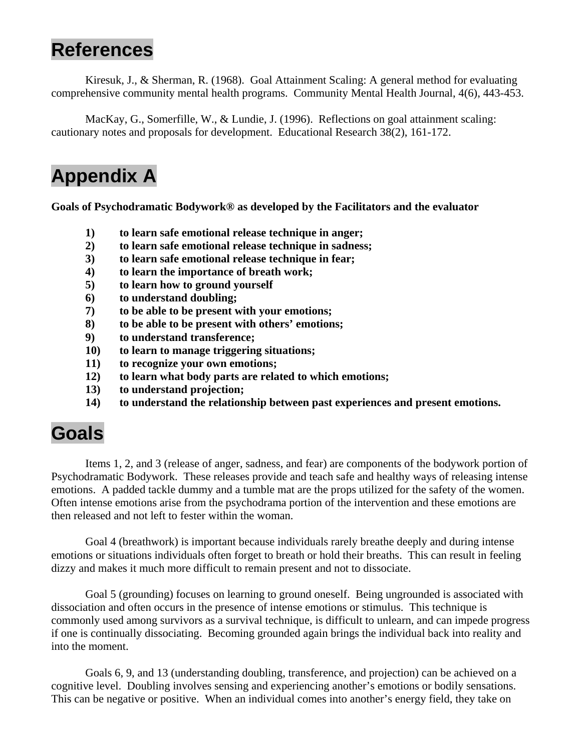## **References**

 Kiresuk, J., & Sherman, R. (1968). Goal Attainment Scaling: A general method for evaluating comprehensive community mental health programs. Community Mental Health Journal, 4(6), 443-453.

 MacKay, G., Somerfille, W., & Lundie, J. (1996). Reflections on goal attainment scaling: cautionary notes and proposals for development. Educational Research 38(2), 161-172.

# **Appendix A**

**Goals of Psychodramatic Bodywork® as developed by the Facilitators and the evaluator** 

- **1) to learn safe emotional release technique in anger;**
- **2) to learn safe emotional release technique in sadness;**
- **3) to learn safe emotional release technique in fear;**
- **4) to learn the importance of breath work;**
- **5) to learn how to ground yourself**
- **6) to understand doubling;**
- **7) to be able to be present with your emotions;**
- **8) to be able to be present with others' emotions;**
- **9) to understand transference;**
- **10) to learn to manage triggering situations;**
- **11) to recognize your own emotions;**
- **12) to learn what body parts are related to which emotions;**
- **13) to understand projection;**
- **14) to understand the relationship between past experiences and present emotions.**

#### **Goals**

 Items 1, 2, and 3 (release of anger, sadness, and fear) are components of the bodywork portion of Psychodramatic Bodywork. These releases provide and teach safe and healthy ways of releasing intense emotions. A padded tackle dummy and a tumble mat are the props utilized for the safety of the women. Often intense emotions arise from the psychodrama portion of the intervention and these emotions are then released and not left to fester within the woman.

 Goal 4 (breathwork) is important because individuals rarely breathe deeply and during intense emotions or situations individuals often forget to breath or hold their breaths. This can result in feeling dizzy and makes it much more difficult to remain present and not to dissociate.

 Goal 5 (grounding) focuses on learning to ground oneself. Being ungrounded is associated with dissociation and often occurs in the presence of intense emotions or stimulus. This technique is commonly used among survivors as a survival technique, is difficult to unlearn, and can impede progress if one is continually dissociating. Becoming grounded again brings the individual back into reality and into the moment.

 Goals 6, 9, and 13 (understanding doubling, transference, and projection) can be achieved on a cognitive level. Doubling involves sensing and experiencing another's emotions or bodily sensations. This can be negative or positive. When an individual comes into another's energy field, they take on